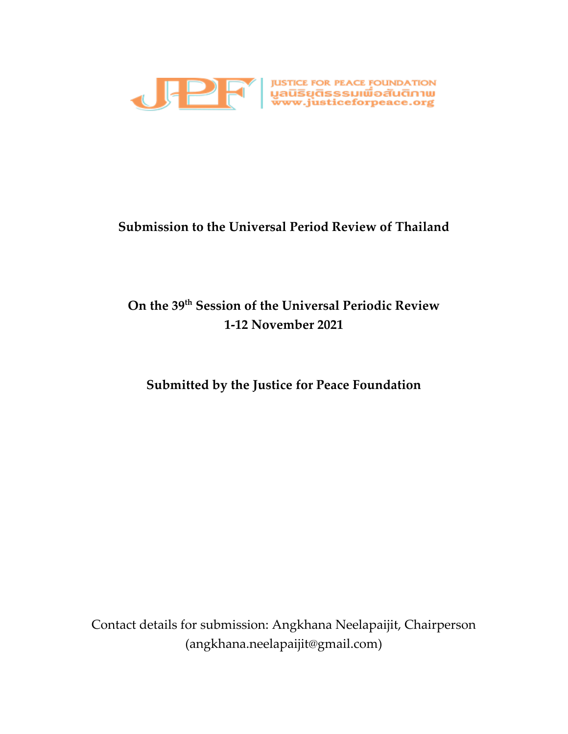

## **Submission to the Universal Period Review of Thailand**

# **On the 39 th Session of the Universal Periodic Review 1-12 November 2021**

## **Submitted by the Justice for Peace Foundation**

Contact details for submission: Angkhana Neelapaijit, Chairperson (angkhana.neelapaijit@gmail.com)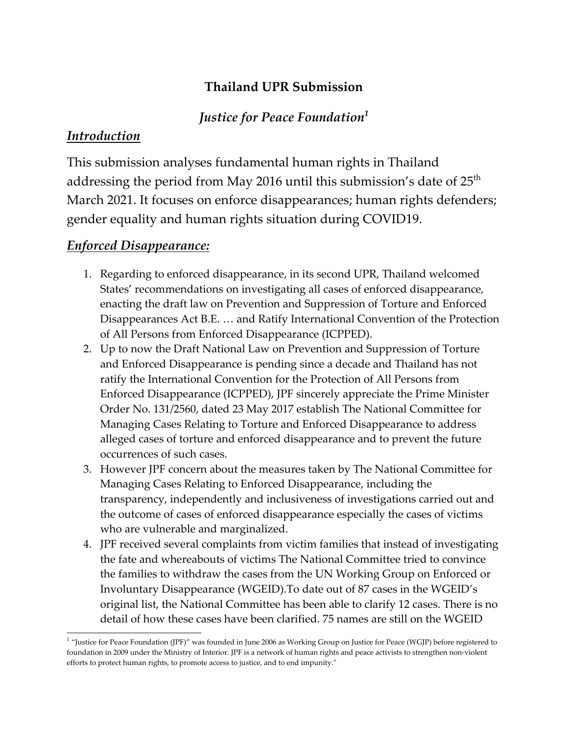## **Thailand UPR Submission**

### *Justice for Peace Foundation<sup>1</sup>*

### *Introduction*

This submission analyses fundamental human rights in Thailand addressing the period from May 2016 until this submission's date of 25 $^{\rm th}$ March 2021. It focuses on enforce disappearances; human rights defenders; gender equality and human rights situation during COVID19.

### *Enforced Disappearance:*

- 1. Regarding to enforced disappearance, in its second UPR, Thailand welcomed States' recommendations on investigating all cases of enforced disappearance, enacting the draft law on Prevention and Suppression of Torture and Enforced Disappearances Act B.E. … and Ratify International Convention of the Protection of All Persons from Enforced Disappearance (ICPPED).
- 2. Up to now the Draft National Law on Prevention and Suppression of Torture and Enforced Disappearance is pending since <sup>a</sup> decade and Thailand has not ratify the International Convention for the Protection of All Persons from Enforced Disappearance (ICPPED), JPF sincerely appreciate the Prime Minister Order No. 131/2560, dated 23 May 2017 establish The National Committee for Managing Cases Relating to Torture and Enforced Disappearance to address alleged cases of torture and enforced disappearance and to preven<sup>t</sup> the future occurrences of such cases.
- 3. However JPF concern about the measures taken by The National Committee for Managing Cases Relating to Enforced Disappearance, including the transparency, independently and inclusiveness of investigations carried out and the outcome of cases of enforced disappearance especially the cases of victims who are vulnerable and marginalized.
- 4. JPF received several complaints from victim families that instead of investigating the fate and whereabouts of victims The National Committee tried to convince the families to withdraw the cases from the UN Working Group on Enforced or Involuntary Disappearance (WGEID).To date out of <sup>87</sup> cases in the WGEID'<sup>s</sup> original list, the National Committee has been able to clarify <sup>12</sup> cases. There is no detail of how these cases have been clarified. 75 names are still on the WGEID

<sup>&</sup>lt;sup>1</sup> "Justice for Peace Foundation (JPF)" was founded in June 2006 as Working Group on Justice for Peace (WGJP) before registered to foundation in 2009 under the Ministry of Interior. JPF is <sup>a</sup> network of human rights and peace activists to strengthen non-violent efforts to protect human rights, to promote access to justice, and to end impunity."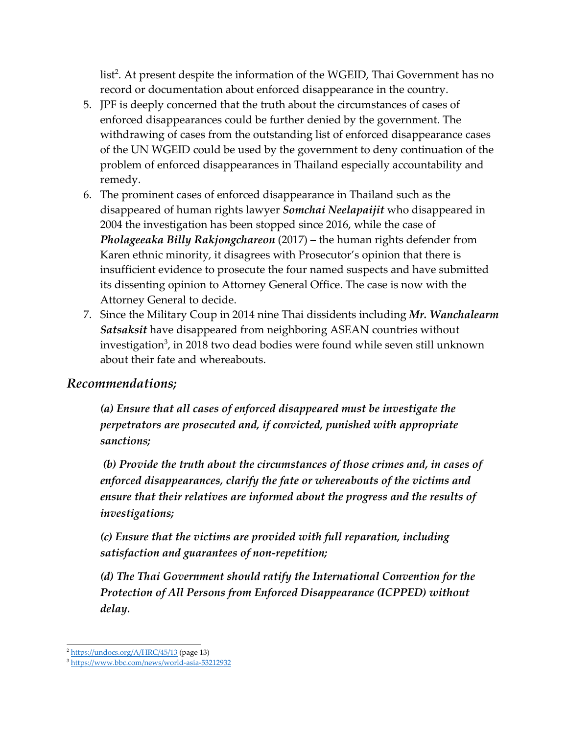list 2 . At presen<sup>t</sup> despite the information of the WGEID, Thai Government has no record or documentation about enforced disappearance in the country.

- 5. JPF is deeply concerned that the truth about the circumstances of cases of enforced disappearances could be further denied by the government. The withdrawing of cases from the outstanding list of enforced disappearance cases of the UN WGEID could be used by the governmen<sup>t</sup> to deny continuation of the problem of enforced disappearances in Thailand especially accountability and remedy.
- 6. The prominent cases of enforced disappearance in Thailand such as the disappeared of human rights lawyer *Somchai Neelapaijit* who disappeared in 2004 the investigation has been stopped since 2016, while the case of *Pholageeaka Billy Rakjongchareon* (2017) – the human rights defender from Karen ethnic minority, it disagrees with Prosecutor'<sup>s</sup> opinion that there is insufficient evidence to prosecute the four named suspects and have submitted its dissenting opinion to Attorney General Office. The case is now with the Attorney General to decide.
- 7. Since the Military Coup in 2014 nine Thai dissidents including *Mr. Wanchalearm Satsaksit* have disappeared from neighboring ASEAN countries without investigation $^3$ , in 2018 two dead bodies were found while seven still unknown about their fate and whereabouts.

### *Recommendations;*

*(a) Ensure that all cases of enforced disappeared must be investigate the perpetrators are prosecuted and, if convicted, punished with appropriate sanctions;*

*(b) Provide the truth about the circumstances of those crimes and, in cases of enforced disappearances, clarify the fate or whereabouts of the victims and ensure that their relatives are informed about the progress and the results of investigations;*

*(c) Ensure that the victims are provided with full reparation, including satisfaction and guarantees of non-repetition;*

*(d) The Thai Government should ratify the International Convention for the Protection of All Persons from Enforced Disappearance (ICPPED) without delay.*

<sup>&</sup>lt;sup>2</sup> <https://undocs.org/A/HRC/45/13> (page 13)

<sup>&</sup>lt;sup>3</sup><https://www.bbc.com/news/world-asia-53212932>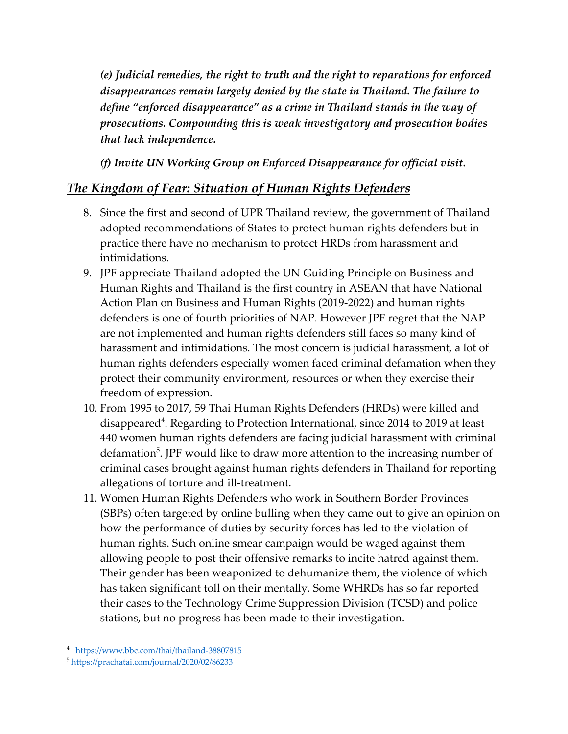*(e) Judicial remedies, the right to truth and the right to reparations for enforced disappearances remain largely denied by the state in Thailand. The failure to define "enforced disappearance" as <sup>a</sup> crime in Thailand stands in the way of prosecutions. Compounding this is weak investigatory and prosecution bodies that lack independence.*

*(f) Invite UN Working Group on Enforced Disappearance for official visit.*

## *The Kingdom of Fear: Situation of Human Rights Defenders*

- 8. Since the first and second of UPR Thailand review, the governmen<sup>t</sup> of Thailand adopted recommendations of States to protect human rights defenders but in practice there have no mechanism to protect HRDs from harassment and intimidations.
- 9. JPF appreciate Thailand adopted the UN Guiding Principle on Business and Human Rights and Thailand is the first country in ASEAN that have National Action Plan on Business and Human Rights (2019-2022) and human rights defenders is one of fourth priorities of NAP. However JPF regre<sup>t</sup> that the NAP are not implemented and human rights defenders still faces so many kind of harassment and intimidations. The most concern is judicial harassment, <sup>a</sup> lot of human rights defenders especially women faced criminal defamation when they protect their community environment, resources or when they exercise their freedom of expression.
- 10. From 1995 to 2017, 59 Thai Human Rights Defenders (HRDs) were killed and disappeared $^4$ . Regarding to Protection International, since 2014 to 2019 at least 440 women human rights defenders are facing judicial harassment with criminal defamation<sup>5</sup>. JPF would like to draw more attention to the increasing number of criminal cases brought against human rights defenders in Thailand for reporting allegations of torture and ill-treatment.
- 11. Women Human Rights Defenders who work in Southern Border Provinces (SBPs) often targeted by online bulling when they came out to give an opinion on how the performance of duties by security forces has led to the violation of human rights. Such online smear campaign would be waged against them allowing people to pos<sup>t</sup> their offensive remarks to incite hatred against them. Their gender has been weaponized to dehumanize them, the violence of which has taken significant toll on their mentally. Some WHRDs has so far reported their cases to the Technology Crime Suppression Division (TCSD) and police stations, but no progress has been made to their investigation.

<sup>4</sup> <https://www.bbc.com/thai/thailand-38807815>

<sup>5</sup> <https://prachatai.com/journal/2020/02/86233>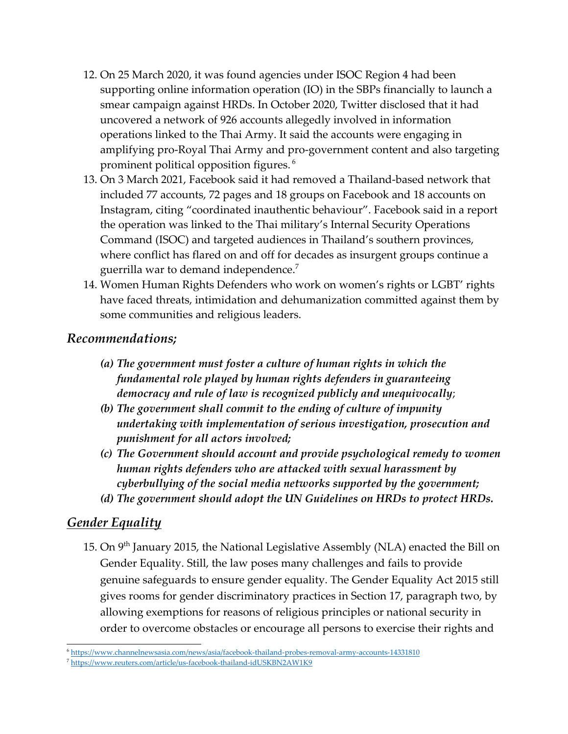- 12. On <sup>25</sup> March 2020, it was found agencies under ISOC Region <sup>4</sup> had been supporting online information operation (IO) in the SBPs financially to launch <sup>a</sup> smear campaign against HRDs. In October 2020, Twitter disclosed that it had uncovered <sup>a</sup> network of 926 accounts allegedly involved in information operations linked to the Thai Army. It said the accounts were engaging in amplifying pro-Royal Thai Army and pro-governmen<sup>t</sup> content and also targeting prominent political opposition figures. 6
- 13. On 3 March 2021, Facebook said it had removed <sup>a</sup> Thailand-based network that included <sup>77</sup> accounts, <sup>72</sup> pages and 18 groups on Facebook and 18 accounts on Instagram, citing "coordinated inauthentic behaviour". Facebook said in <sup>a</sup> repor<sup>t</sup> the operation was linked to the Thai military'<sup>s</sup> Internal Security Operations Command (ISOC) and targeted audiences in Thailand'<sup>s</sup> southern provinces, where conflict has flared on and off for decades as insurgent groups continue <sup>a</sup> guerrilla war to demand independence. $^7$
- 14. Women Human Rights Defenders who work on women'<sup>s</sup> rights or LGBT' rights have faced threats, intimidation and dehumanization committed against them by some communities and religious leaders.

### *Recommendations;*

- *(a) The governmen<sup>t</sup> must foster <sup>a</sup> culture of human rights in which the fundamental role played by human rights defenders in guaranteeing democracy and rule of law is recognized publicly and unequivocally*;
- *(b) The governmen<sup>t</sup> shall commit to the ending of culture of impunity undertaking with implementation of serious investigation, prosecution and punishment for all actors involved;*
- *(c) The Government should account and provide psychological remedy to women human rights defenders who are attacked with sexual harassment by cyberbullying of the social media networks supported by the government;*
- *(d) The governmen<sup>t</sup> should adopt the UN Guidelines on HRDs to protect HRDs.*

### *Gender Equality*

15. On 9 $^{\rm th}$  January 2015, the National Legislative Assembly (NLA) enacted the Bill on Gender Equality. Still, the law poses many challenges and fails to provide genuine safeguards to ensure gender equality. The Gender Equality Act 2015 still gives rooms for gender discriminatory practices in Section 17, paragraph two, by allowing exemptions for reasons of religious principles or national security in order to overcome obstacles or encourage all persons to exercise their rights and

<sup>6</sup> <https://www.channelnewsasia.com/news/asia/facebook-thailand-probes-removal-army-accounts-14331810>

<sup>&</sup>lt;sup>7</sup> <https://www.reuters.com/article/us-facebook-thailand-idUSKBN2AW1K9>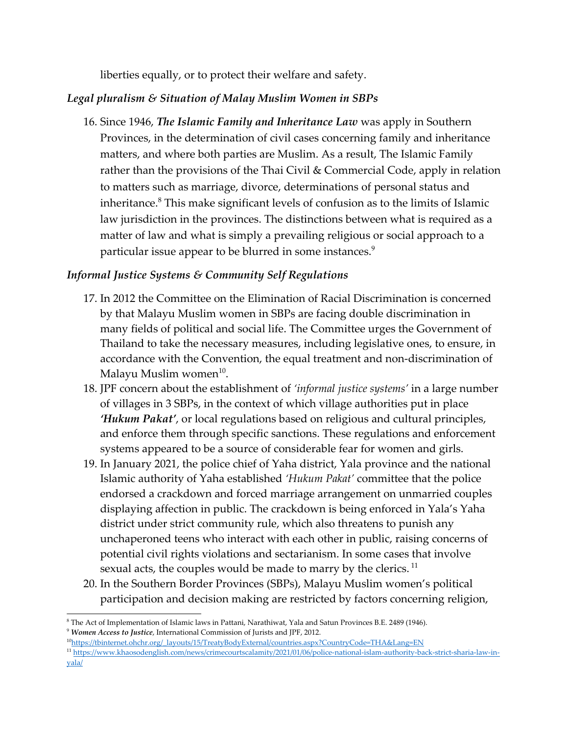liberties equally, or to protect their welfare and safety.

#### *Legal pluralism & Situation of Malay Muslim Women in SBPs*

16. Since 1946, *The Islamic Family and Inheritance Law* was apply in Southern Provinces, in the determination of civil cases concerning family and inheritance matters, and where both parties are Muslim. As <sup>a</sup> result, The Islamic Family rather than the provisions of the Thai Civil & Commercial Code, apply in relation to matters such as marriage, divorce, determinations of personal status and inheritance. 8 This make significant levels of confusion as to the limits of Islamic law jurisdiction in the provinces. The distinctions between what is required as <sup>a</sup> matter of law and what is simply <sup>a</sup> prevailing religious or social approach to <sup>a</sup> particular issue appear to be blurred in some instances. $^9$ 

#### *Informal Justice Systems & Community Self Regulations*

- 17. In 2012 the Committee on the Elimination of Racial Discrimination is concerned by that Malayu Muslim women in SBPs are facing double discrimination in many fields of political and social life. The Committee urges the Government of Thailand to take the necessary measures, including legislative ones, to ensure, in accordance with the Convention, the equal treatment and non-discrimination of Malayu Muslim women $^{\rm 10}$ .
- 18. JPF concern about the establishment of *'informal justice systems'* in <sup>a</sup> large number of villages in 3 SBPs, in the context of which village authorities pu<sup>t</sup> in place *'Hukum Pakat'*, or local regulations based on religious and cultural principles, and enforce them through specific sanctions. These regulations and enforcement systems appeared to be <sup>a</sup> source of considerable fear for women and girls.
- 19. In January 2021, the police chief of Yaha district, Yala province and the national Islamic authority of Yaha established *'Hukum Pakat'* committee that the police endorsed <sup>a</sup> crackdown and forced marriage arrangemen<sup>t</sup> on unmarried couples displaying affection in public. The crackdown is being enforced in Yala'<sup>s</sup> Yaha district under strict community rule, which also threatens to punish any unchaperoned teens who interact with each other in public, raising concerns of potential civil rights violations and sectarianism. In some cases that involve sexual acts, the couples would be made to marry by the clerics.  $^{\rm 11}$
- 20. In the Southern Border Provinces (SBPs), Malayu Muslim women'<sup>s</sup> political participation and decision making are restricted by factors concerning religion,

<sup>8</sup> The Act of Implementation of Islamic laws in Pattani, Narathiwat, Yala and Satun Provinces B.E. 2489 (1946).

<sup>9</sup> *Women Access to Justice*, International Commission of Jurists and JPF, 2012.

<sup>10</sup> [https://tbinternet.ohchr.org/\\_layouts/15/TreatyBodyExternal/countries.aspx?CountryCode=THA&Lang=EN](https://tbinternet.ohchr.org/_layouts/15/TreatyBodyExternal/countries.aspx?CountryCode=THA&Lang=EN)

<sup>&</sup>lt;sup>11</sup>[https://www.khaosodenglish.com/news/crimecourtscalamity/2021/01/06/police-national-islam-authority-back-strict-sharia-law-in](https://www.khaosodenglish.com/news/crimecourtscalamity/2021/01/06/police-national-islam-authority-back-strict-sharia-law-in-yala/)ya[la/](https://www.khaosodenglish.com/news/crimecourtscalamity/2021/01/06/police-national-islam-authority-back-strict-sharia-law-in-yala/)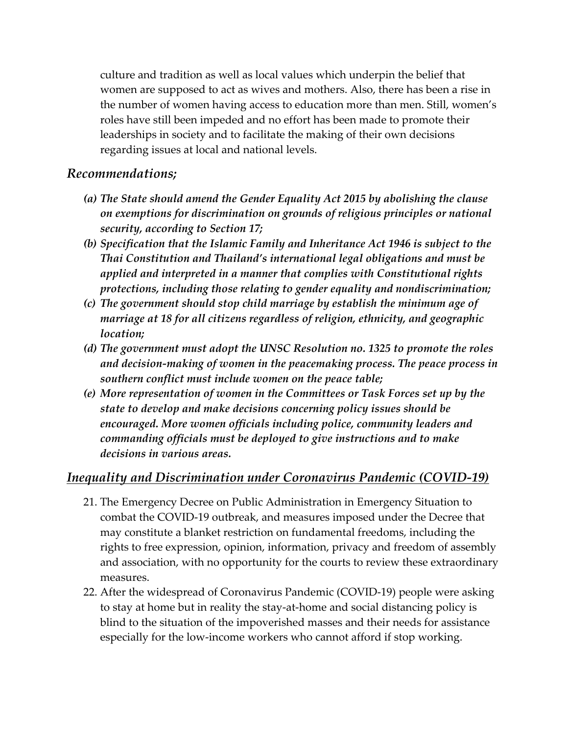culture and tradition as well as local values which underpin the belief that women are supposed to act as wives and mothers. Also, there has been <sup>a</sup> rise in the number of women having access to education more than men. Still, women'<sup>s</sup> roles have still been impeded and no effort has been made to promote their leaderships in society and to facilitate the making of their own decisions regarding issues at local and national levels.

#### *Recommendations;*

- *(a) The State should amend the Gender Equality Act 2015 by abolishing the clause on exemptions for discrimination on grounds of religious principles or national security, according to Section 17;*
- *(b) Specification that the Islamic Family and Inheritance Act <sup>1946</sup> is subject to the Thai Constitution and Thailand'<sup>s</sup> international legal obligations and must be applied and interpreted in <sup>a</sup> manner that complies with Constitutional rights protections, including those relating to gender equality and nondiscrimination;*
- *(c) The governmen<sup>t</sup> should stop child marriage by establish the minimum age of marriage at <sup>18</sup> for all citizens regardless of religion, ethnicity, and geographic location;*
- *(d) The governmen<sup>t</sup> must adopt the UNSC Resolution no. 1325 to promote the roles and decision-making of women in the peacemaking process. The peace process in southern conflict must include women on the peace table;*
- *(e) More representation of women in the Committees or Task Forces set up by the state to develop and make decisions concerning policy issues should be encouraged. More women officials including police, community leaders and commanding officials must be deployed to give instructions and to make decisions in various areas.*

### *Inequality and Discrimination under Coronavirus Pandemic (COVID-19)*

- 21. The Emergency Decree on Public Administration in Emergency Situation to combat the COVID-19 outbreak, and measures imposed under the Decree that may constitute <sup>a</sup> blanket restriction on fundamental freedoms, including the rights to free expression, opinion, information, privacy and freedom of assembly and association, with no opportunity for the courts to review these extraordinary measures.
- 22. After the widespread of Coronavirus Pandemic (COVID-19) people were asking to stay at home but in reality the stay-at-home and social distancing policy is blind to the situation of the impoverished masses and their needs for assistance especially for the low-income workers who cannot afford if stop working.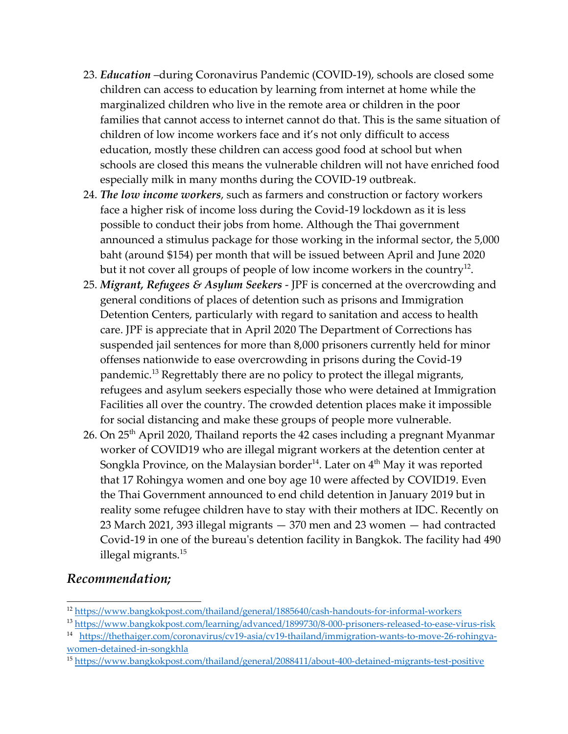- 23. *Education* –during Coronavirus Pandemic (COVID-19), schools are closed some children can access to education by learning from internet at home while the marginalized children who live in the remote area or children in the poor families that cannot access to internet cannot do that. This is the same situation of children of low income workers face and it'<sup>s</sup> not only difficult to access education, mostly these children can access good food at school but when schools are closed this means the vulnerable children will not have enriched food especially milk in many months during the COVID-19 outbreak.
- 24. *The low income workers*, such as farmers and construction or factory workers face <sup>a</sup> higher risk of income loss during the Covid-19 lockdown as it is less possible to conduct their jobs from home. Although the Thai governmen<sup>t</sup> announced <sup>a</sup> stimulus package for those working in the informal sector, the 5,000 baht (around \$154) per month that will be issued between April and June 2020 but it not cover all groups of people of low income workers in the country $^{\rm 12}$ .
- 25. *Migrant, Refugees & Asylum Seekers* JPF is concerned at the overcrowding and general conditions of places of detention such as prisons and Immigration Detention Centers, particularly with regard to sanitation and access to health care. JPF is appreciate that in April 2020 The Department of Corrections has suspended jail sentences for more than 8,000 prisoners currently held for minor offenses nationwide to ease overcrowding in prisons during the Covid-19 pandemic.<sup>13</sup> Regrettably there are no policy to protect the illegal migrants*,* refugees and asylum seekers especially those who were detained at Immigration Facilities all over the country. The crowded detention places make it impossible for social distancing and make these groups of people more vulnerable.
- 26. On 25<sup>th</sup> April 2020, Thailand reports the 42 cases including a pregnant Myanmar worker of COVID19 who are illegal migrant workers at the detention center at Songkla Province, on the Malaysian border $^{\rm 14}$ . Later on  $4^{\rm th}$  May it was reported that <sup>17</sup> Rohingya women and one boy age 10 were affected by COVID19. Even the Thai Government announced to end child detention in January 2019 but in reality some refugee children have to stay with their mothers at IDC. Recently on 23 March 2021, 393 illegal migrants — 370 men and 23 women — had contracted Covid-19 in one of the bureau's detention facility in Bangkok. The facility had 490 illegal migrants. 15

### *Recommendation;*

<sup>&</sup>lt;sup>12</sup> <https://www.bangkokpost.com/thailand/general/1885640/cash-handouts-for-informal-workers>

<sup>&</sup>lt;sup>13</sup> <https://www.bangkokpost.com/learning/advanced/1899730/8-000-prisoners-released-to-ease-virus-risk>

<sup>&</sup>lt;sup>14</sup> [https://thethaiger.com/coronavirus/cv19-asia/cv19-thailand/immigration-wants-to-move-26-rohingya](https://thethaiger.com/coronavirus/cv19-asia/cv19-thailand/immigration-wants-to-move-26-rohingya-women-detained-in-songkhla)[women-detained-in-songkhla](https://thethaiger.com/coronavirus/cv19-asia/cv19-thailand/immigration-wants-to-move-26-rohingya-women-detained-in-songkhla)

<sup>&</sup>lt;sup>15</sup> <https://www.bangkokpost.com/thailand/general/2088411/about-400-detained-migrants-test-positive>